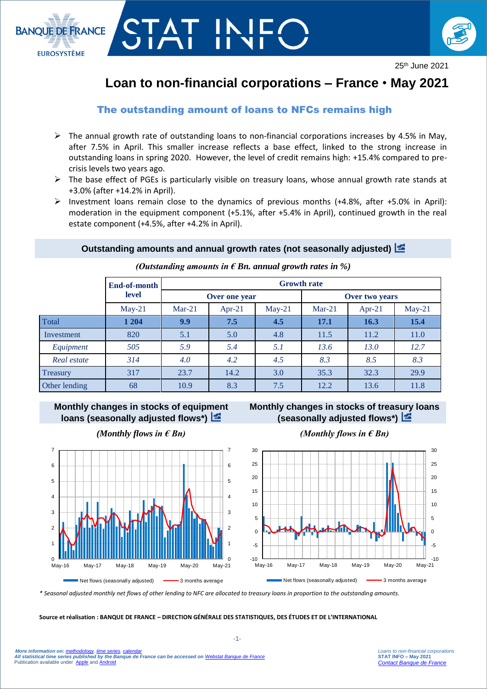

# STAT INJI



25th June 2021

# **Loan to non-financial corporations – France** • **May 2021**

# The outstanding amount of loans to NFCs remains high

- $\triangleright$  The annual growth rate of outstanding loans to non-financial corporations increases by 4.5% in May, after 7.5% in April. This smaller increase reflects a base effect, linked to the strong increase in outstanding loans in spring 2020. However, the level of credit remains high: +15.4% compared to precrisis levels two years ago.
- $\triangleright$  The base effect of PGEs is particularly visible on treasury loans, whose annual growth rate stands at +3.0% (after +14.2% in April).
- Investment loans remain close to the dynamics of previous months  $(+4.8\%),$  after  $+5.0\%$  in April): moderation in the equipment component (+5.1%, after +5.4% in April), continued growth in the real estate component (+4.5%, after +4.2% in April).

## **Outstanding amounts and annual growth rates (not seasonally adjusted)**

|               | End-of-month<br>level | <b>Growth rate</b> |        |          |                |          |          |
|---------------|-----------------------|--------------------|--------|----------|----------------|----------|----------|
|               |                       | Over one year      |        |          | Over two years |          |          |
|               | $May-21$              | $Mar-21$           | Apr-21 | $May-21$ | $Mar-21$       | $Apr-21$ | $May-21$ |
| Total         | 1 204                 | 9.9                | 7.5    | 4.5      | 17.1           | 16.3     | 15.4     |
| Investment    | 820                   | 5.1                | 5.0    | 4.8      | 11.5           | 11.2     | 11.0     |
| Equipment     | 505                   | 5.9                | 5.4    | 5.1      | 13.6           | 13.0     | 12.7     |
| Real estate   | 314                   | 4.0                | 4.2    | 4.5      | 8.3            | 8.5      | 8.3      |
| Treasury      | 317                   | 23.7               | 14.2   | 3.0      | 35.3           | 32.3     | 29.9     |
| Other lending | 68                    | 10.9               | 8.3    | 7.5      | 12.2           | 13.6     | 11.8     |

*(Outstanding amounts in € Bn. annual growth rates in %)*

# **Monthly changes in stocks of equipment loans (seasonally adjusted flows\*)**



## **Monthly changes in stocks of treasury loans (seasonally adjusted flows\*)**



*(Monthly flows in € Bn) (Monthly flows in € Bn)*

*\* Seasonal adjusted monthly net flows of other lending to NFC are allocated to treasury loans in proportion to the outstanding amounts.*

1 2

7

**Source et réalisation : BANQUE DE FRANCE – DIRECTION GÉNÉRALE DES STATISTIQUES, DES ÉTUDES ET DE L'INTERNATIONAL**